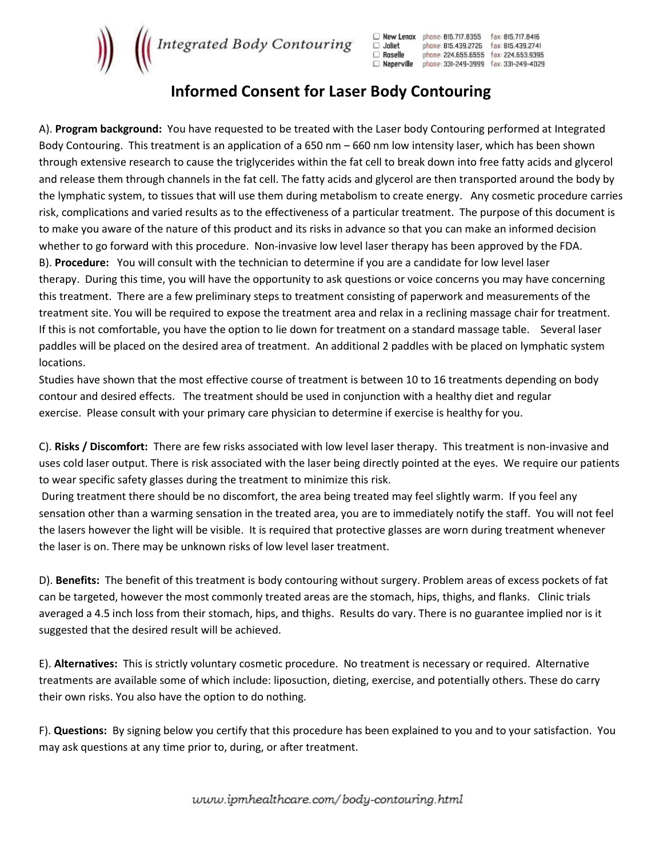

| New Lenox  | phone: 815.717.8355 | fax: 815.717.8416 |
|------------|---------------------|-------------------|
| Joliet     | phone: 815.439.2726 | fax: 815.439.2741 |
| Roselle    | phone: 224.655.6555 | fax: 224.653.9395 |
| Naperville | ohone: 331-249-3999 | fax: 331-249-4029 |

## Informed Consent for Laser Body Contouring

A). Program background: You have requested to be treated with the Laser body Contouring performed at Integrated Body Contouring. This treatment is an application of a 650 nm – 660 nm low intensity laser, which has been shown through extensive research to cause the triglycerides within the fat cell to break down into free fatty acids and glycerol and release them through channels in the fat cell. The fatty acids and glycerol are then transported around the body by the lymphatic system, to tissues that will use them during metabolism to create energy. Any cosmetic procedure carries risk, complications and varied results as to the effectiveness of a particular treatment. The purpose of this document is to make you aware of the nature of this product and its risks in advance so that you can make an informed decision whether to go forward with this procedure. Non-invasive low level laser therapy has been approved by the FDA. B). Procedure: You will consult with the technician to determine if you are a candidate for low level laser therapy. During this time, you will have the opportunity to ask questions or voice concerns you may have concerning this treatment. There are a few preliminary steps to treatment consisting of paperwork and measurements of the treatment site. You will be required to expose the treatment area and relax in a reclining massage chair for treatment. If this is not comfortable, you have the option to lie down for treatment on a standard massage table. Several laser paddles will be placed on the desired area of treatment. An additional 2 paddles with be placed on lymphatic system locations.

Studies have shown that the most effective course of treatment is between 10 to 16 treatments depending on body contour and desired effects. The treatment should be used in conjunction with a healthy diet and regular exercise. Please consult with your primary care physician to determine if exercise is healthy for you.

C). Risks / Discomfort: There are few risks associated with low level laser therapy. This treatment is non-invasive and uses cold laser output. There is risk associated with the laser being directly pointed at the eyes. We require our patients to wear specific safety glasses during the treatment to minimize this risk.

 During treatment there should be no discomfort, the area being treated may feel slightly warm. If you feel any sensation other than a warming sensation in the treated area, you are to immediately notify the staff. You will not feel the lasers however the light will be visible. It is required that protective glasses are worn during treatment whenever the laser is on. There may be unknown risks of low level laser treatment.

D). Benefits: The benefit of this treatment is body contouring without surgery. Problem areas of excess pockets of fat can be targeted, however the most commonly treated areas are the stomach, hips, thighs, and flanks. Clinic trials averaged a 4.5 inch loss from their stomach, hips, and thighs. Results do vary. There is no guarantee implied nor is it suggested that the desired result will be achieved.

E). Alternatives: This is strictly voluntary cosmetic procedure. No treatment is necessary or required. Alternative treatments are available some of which include: liposuction, dieting, exercise, and potentially others. These do carry their own risks. You also have the option to do nothing.

F). Questions: By signing below you certify that this procedure has been explained to you and to your satisfaction. You may ask questions at any time prior to, during, or after treatment.

www.ipmhealthcare.com/body-contouring.html